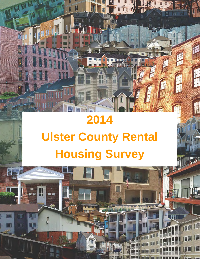# **2014 Ulster County Rental Housing Survey**

H

 $\mathbb{T}^r$ 

Ŧ

EP.

dhe.

EE

 $\overline{1}$ 

1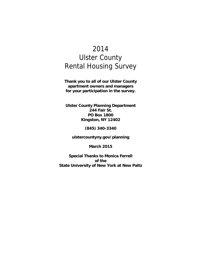# 2014 Ulster County Rental Housing Survey

**Thank you to all of our Ulster County apartment owners and managers for your participation in the survey.** 

**Ulster County Planning Department 244 Fair St. PO Box 1800 Kingston, NY 12402** 

**(845) 340-3340** 

**ulstercountyny.gov/planning** 

**March 2015** 

**Special Thanks to Monica Ferrell of the State University of New York at New Paltz**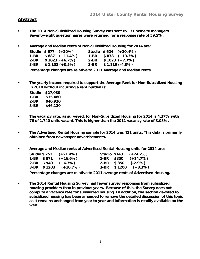#### **Abstract**

- **The 2014 Non-Subsidized Housing Survey was sent to 131 owners/managers. Seventy-eight questionnaires were returned for a response rate of 59.5%.**
- **Average and Median rents of Non-Subsidized Housing for 2014 are:**

|      | Studio \$677 (+20%)      |      | Studio $$624 (+10.4%)$   |
|------|--------------------------|------|--------------------------|
|      | $1-BR$ \$887 $(+11.4\%)$ |      | $1-BR$ \$878 $(+13.3\%)$ |
| 2-BR | $$1023 (+6.7%)$          | 2-BR | $$1023 (+7.7%)$          |
| 3-BR | $$1,153 (+0.5%)$         | 3-BR | $$1,119$ (-4.8%)         |

**Percentage changes are relative to 2011 Average and Median rents.** 

**• The yearly income required to support the Average Rent for Non-Subsidized Housing in 2014 without incurring a rent burden is:** 

| Studio | \$27,080 |
|--------|----------|
| 1-BR   | \$35,480 |
| 2-BR   | \$40,920 |
| 3-BR   | \$46,120 |

- **The vacancy rate, as surveyed, for Non-Subsidized Housing for 2014 is 4.37% with 76 of 1,740 units vacant. This is higher than the 2011 vacancy rate of 3.08%.**
- **The Advertised Rental Housing sample for 2014 was 411 units. This data is primarily obtained from newspaper advertisements.**
- **Average and Median rents of Advertised Rental Housing units for 2014 are:**

|  | Studio $$752$ $(+21.4\%)$ |  | Studio \$743 (+24.2%)    |
|--|---------------------------|--|--------------------------|
|  | $1-BR$ \$871 $(+16.6%)$   |  | $1-BR$ \$850 $(+14.7%)$  |
|  | $2-BR$ \$949 $(+6.7%)$    |  | $2-BR$ \$850 (-2.9%)     |
|  | $3-BR$ \$1203 (+10.7%)    |  | $3-BR$ \$1200 $(+8.3\%)$ |

**Percentage changes are relative to 2011 average rents of Advertised Housing.** 

**• The 2014 Rental Housing Survey had fewer survey responses from subsidized housing providers than in previous years. Because of this, the Survey does not compute a vacancy rate for subsidized housing. In addition, the section devoted to subsidized housing has been amended to remove the detailed discussion of this topic as it remains unchanged from year to year and information is readily available on the web.**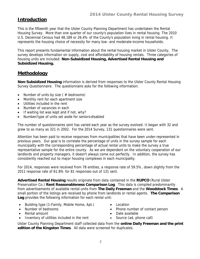## **Introduction**

This is the fifteenth year that the Ulster County Planning Department has undertaken the Rental Housing Survey. More than one quarter of our county's population lives in rental housing. The 2010 U.S. Decennial Census had 48,189 or 26.4% of the County's population living in rental housing. It represents the housing choice of necessity for many low- and moderate-income households.

This report presents fundamental information about the rental housing market in Ulster County. The survey develops information on supply, cost and affordability of housing rentals. Three categories of housing units are included: **Non-Subsidized Housing, Advertised Rental Housing and Subsidized Housing.** 

## **Methodology**

**Non-Subsidized Housing** information is derived from responses to the Ulster County Rental Housing Survey Questionnaire. The questionnaire asks for the following information:

- Number of units by size ( $#$  bedrooms)
- Monthly rent for each apartment size
- Utilities included in the rent
- Number of vacancies in each
- If waiting list was kept and if not, why?
- Number/type of units set aside for seniors/disabled

The number of questionnaires sent has varied each year as the survey evolved. It began with 32 and grew to as many as 321 in 2002. For the 2014 Survey, 131 questionnaires were sent.

Attention has been paid to receive responses from municipalities that have been under-represented in previous years. Our goal is to correlate the percentage of units in the survey sample for each municipality with the corresponding percentage of actual rental units to make the survey a true representative sample for the entire county. As we are dependent on the voluntary cooperation of our landlords and property managers, it doesn't always come out perfectly. In addition, the survey has consistently reached out to major housing complexes in each municipality.

For 2014, responses were received from 78 entities, a response rate of 59.5%, down slightly from the 2011 response rate of 61.8% for 81 responses out of 131 sent.

**Advertised Rental Housing** results originate from data contained in the **RUPCO** (Rural Ulster Preservation Co.) **Rent Reasonableness Comparison Log**. This data is compiled predominantly from advertisements of available rental units from **The Daily Freeman** and the **Woodstock Times**. A small portion of the listings are received by phone from landlords or rental agents. **The Comparison Log** provides the following information for each rental unit:

- Building type (1-Family, Mobile Home, Apt.)
- Number of bedrooms
- Rental amount
- Inventory of utilities included in the rent
- Location
- Phone number of contact person
- Date available
- Source (ad, phone call)

Ulster County Planning Department staff collected data from the **online Daily Freeman and the print edition of the Kingston Times**. All data were screened for duplicates.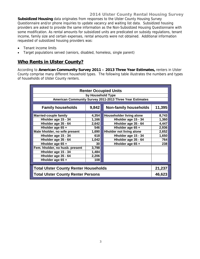#### **2014 Ulster County Rental Housing Survey**

**Subsidized Housing** data originates from responses to the Ulster County Housing Survey Questionnaire and/or phone inquiries to update vacancy and waiting list data. Subsidized housing providers are asked to provide the same information as the Non-Subsidized Housing Questionnaire with some modification. As rental amounts for subsidized units are predicated on subsidy regulations, tenant income, family size and certain expenses, rental amounts were not obtained. Additional information requested of subsidized housing providers was:

- Tenant income limits
- Target populations served (seniors, disabled, homeless, single parent)

#### **Who Rents in Ulster County?**

According to **American Community Survey 2011 – 2013 Three Year Estimates,** renters in Ulster County comprise many different household types. The following table illustrates the numbers and types of households of Ulster County renters.

|                                              |                                 | <b>Renter Occupied Units</b>                             |        |  |  |  |  |  |  |  |  |
|----------------------------------------------|---------------------------------|----------------------------------------------------------|--------|--|--|--|--|--|--|--|--|
|                                              | by Household Type               |                                                          |        |  |  |  |  |  |  |  |  |
|                                              |                                 | American Community Survey 2011-2013 Three Year Estimates |        |  |  |  |  |  |  |  |  |
|                                              |                                 |                                                          |        |  |  |  |  |  |  |  |  |
| <b>Family households</b>                     | 9,842                           | <b>Non-family households</b>                             | 11,395 |  |  |  |  |  |  |  |  |
| <b>Married-couple family</b>                 | 4,354                           | Householder living alone                                 | 8,743  |  |  |  |  |  |  |  |  |
| Hholder age 15 - 34                          | 1,166                           | Hholder age 15 - 34                                      | 1,360  |  |  |  |  |  |  |  |  |
| Hholder age 35 - 64                          | 2,642                           | Hholder age 35 - 64                                      | 4,447  |  |  |  |  |  |  |  |  |
| Hholder age 65 +                             | 546                             | Hholder age 65 +                                         | 2,936  |  |  |  |  |  |  |  |  |
| Male hholder, no wife present                | <b>Hholder not living alone</b> | 2,652                                                    |        |  |  |  |  |  |  |  |  |
| Hholder age 15 - 34                          | 618                             | Hholder age 15 - 34                                      | 1,650  |  |  |  |  |  |  |  |  |
| Hholder age 35 - 64                          | 1,042                           | Hholder age 35 - 64                                      | 764    |  |  |  |  |  |  |  |  |
| Hholder age 65 +                             | 30                              | Hholder age 65 +                                         | 238    |  |  |  |  |  |  |  |  |
| Fem. hholder, no husb. present               | 3,798                           |                                                          |        |  |  |  |  |  |  |  |  |
| Hholder age 15 - 34                          | 1,484                           |                                                          |        |  |  |  |  |  |  |  |  |
| Hholder age 35 - 64                          | 2,206                           |                                                          |        |  |  |  |  |  |  |  |  |
| Hholder age 65 +                             | 108                             |                                                          |        |  |  |  |  |  |  |  |  |
|                                              |                                 |                                                          |        |  |  |  |  |  |  |  |  |
| <b>Total Ulster County Renter Households</b> |                                 |                                                          | 21,237 |  |  |  |  |  |  |  |  |
| <b>Total Ulster County Renter Persons</b>    |                                 |                                                          | 46,623 |  |  |  |  |  |  |  |  |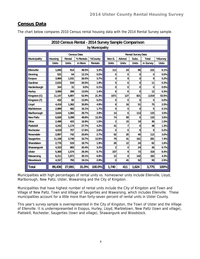#### **Census Data**

|                     |              |              |                    | by Municipality |                |              |                           |           |              |
|---------------------|--------------|--------------|--------------------|-----------------|----------------|--------------|---------------------------|-----------|--------------|
|                     |              |              | <b>Census Data</b> |                 |                |              | <b>Rental Survey Data</b> |           |              |
| <b>Municipality</b> | Housing      | Rental       | % Rentals          | %County         | Non-S.         | Advtsd.      | Subs.                     | Total     | %Survey      |
|                     | <b>Units</b> | <b>Units</b> | in Muni.           | <b>Rentals</b>  | <b>Units</b>   | <b>Units</b> | <b>Units</b>              | in Survey | <b>Units</b> |
|                     |              |              |                    |                 |                |              |                           |           |              |
| Ellenville          | 1,845        | 914          | 49.5%              | 3.3%            | 111            | 24           | 96                        | 231       | 6.1%         |
| Dennina             | 531          | 64           | 12.1%              | 0.2%            | 0              | 0            | 0                         | 0         | 0.0%         |
| <b>Esopus</b>       | 3,969        | 1,031        | 26.0%              | 3.7%            | 0              | 9            | 0                         | 9         | 0.2%         |
| Gardiner            | 2.610        | 534          | 20.5%              | 1.9%            | 5              | 6            | $\bf{0}$                  | 11        | 0.3%         |
| Hardenburgh         | 344          | 31           | 9.0%               | 0.1%            | 0              | 0            | $\bf{0}$                  | $\bf{0}$  | 0.0%         |
| <b>Hurley</b>       | 3.069        | 399          | 13.0%              | 1.4%            | 6              | 6            | 0                         | 12        | 0.3%         |
| Kingston (C)        | 11,147       | 5,897        | 52.9%              | 21.3%           | 1071           | 127          | 821                       | 2,019     | 53.5%        |
| Kingston (T)        | 432          | 60           | 13.9%              | 0.2%            | 0              | 0            | $\bf{0}$                  | $\bf{0}$  | 0.0%         |
| Lloyd               | 4,419        | 1,362        | 30.8%              | 4.9%            | 8              | 16           | 51                        | 75        | 2.0%         |
| Marbletown          | 2.989        | 482          | 16.1%              | 1.7%            | 0              | 5            | O                         | 5         | 0.1%         |
| Marlborough         | 3,644        | 1,084        | 29.7%              | 3.9%            | 14             | 6            | 113                       | 133       | 3.5%         |
| <b>New Paltz</b>    | 6,828        | 3,399        | 49.8%              | 12.3%           | 74             | 59           | 0                         | 133       | 3.5%         |
| Olive               | 2.498        | 423          | 16.9%              | 1.5%            | $\overline{2}$ | 15           | 19                        | 36        | 1.0%         |
| Plattekill          | 4,242        | 1,174        | 27.7%              | 4.2%            | 41             | 7            | 0                         | 48        | 1.3%         |
| <b>Rochester</b>    | 4,019        | 707          | 17.6%              | 2.6%            | 0              | 0            | 9                         | 9         | 0.2%         |
| Rosendale           | 2,897        | 742          | 25.6%              | 2.7%            | 52             | 20           | 40                        | 112       | 3.0%         |
| <b>Saugerties</b>   | 11,108       | 3,748        | 33.7%              | 13.5%           | 79             | 41           | 161                       | 281       | 7.4%         |
| Shandaken           | 2,776        | 519          | 18.7%              | 1.9%            | 26             | 12           | 24                        | 62        | 1.6%         |
| <b>Shawangunk</b>   | 4,333        | 883          | 20.4%              | 3.2%            | $\overline{2}$ | 0            | 24                        | 26        | 0.7%         |
| <b>Ulster</b>       | 5,368        | 1,574        | 29.3%              | 5.7%            | 237            | 9            | 72                        | 318       | 8.4%         |
| Wawarsing           | 6,211        | 1,871        | 30.1%              | 6.8%            | 12             | 8            | 142                       | 162       | 4.3%         |
| Woodstock           | 4,157        | 793          | 19.1%              | 2.9%            | 0              | 41           | 52                        | 93        | 2.5%         |
| Total               | 89,436       | 27,691       | 31.0%              | 100.0%          | 1,740          | 411          | 1,624                     | 3,775     | 100%         |

The chart below compares 2010 Census rental housing data with the 2014 Rental Survey sample.

Municipalities with high percentages of rental units vs. homeowner units include Ellenville, Lloyd, Marlborough, New Paltz, Ulster, Wawarsing and the City of Kingston.

Municipalities that have highest number of rental units include the City of Kingston and Town and Village of New Paltz, Town and Village of Saugerties and Wawarsing, which includes Ellenville. These municipalities account for a little more than forty-seven percent of rental units in Ulster County.

This year's survey sample is overrepresented in the City of Kingston, the Town of Ulster and the Village of Ellenville. It is underrepresented in Esopus, Hurley, Lloyd, Marbletown, New Paltz (town and village), Plattekill, Rochester, Saugerties (town and village), Shawangunk and Woodstock.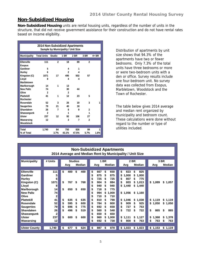#### **Non-Subsidized Housing**

**Non-Subsidized Housing** units are rental housing units, regardless of the number of units in the structure, that did not receive government assistance for their construction and do not have rental rates based on income eligibility.

|                     | 2014 Non-Subsidized Apartments |                                    |                |       |              |       |
|---------------------|--------------------------------|------------------------------------|----------------|-------|--------------|-------|
|                     |                                | Sample by Municipality / Unit Size |                |       |              |       |
| <b>Municipality</b> | <b>Total Units</b>             | <b>Studio</b>                      | 1 BR           | 2 BR  | 3 BR         | 4+ BR |
|                     |                                |                                    |                |       |              |       |
| Ellenville          | 111                            | $\mathbf{2}$                       | 18             | 89    | $\mathbf{2}$ |       |
| <b>Esopus</b>       |                                |                                    |                |       |              |       |
| Gardiner            | 5                              |                                    | 4              | 1     |              |       |
| Hurley              | 6                              |                                    | $\overline{2}$ | 4     |              |       |
| Kingston (C)        | 1071                           | 17                                 | 495            | 502   | 57           |       |
| Lloyd               | 8                              |                                    | 4              | 4     |              |       |
| Marbletown          |                                |                                    |                |       |              |       |
| Marlborough         | 14                             | 1                                  | 13             |       |              |       |
| <b>New Paltz</b>    | 74                             |                                    | 30             | 44    |              |       |
| Olive               | $\mathbf{2}$                   |                                    | $\mathbf{2}$   |       |              |       |
| <b>Plattekill</b>   | 41                             | 1                                  | 12             | 23    | 5            |       |
| <b>Rochester</b>    |                                |                                    |                |       |              |       |
| Rosendale           | 52                             | 3                                  | 26             | 19    | 3            | 1     |
| <b>Saugerties</b>   | 79                             | 21                                 | 40             | 18    |              |       |
| Shandaken           | 26                             | 7                                  | 8              | 9     | $\mathbf{2}$ |       |
| Shawangunk          | $\mathbf{2}$                   |                                    | 1              |       | 1            |       |
| <b>Ulster</b>       | 237                            | 12                                 | 92             | 106   | 27           |       |
| Wawarsing           | 12                             |                                    | 3              | 7     | $\mathbf{2}$ |       |
| Woodstock           |                                |                                    |                |       |              |       |
|                     |                                |                                    |                |       |              |       |
| Total               | 1,740                          | 64                                 | 750            | 826   | 99           | 1     |
| % of Total          |                                | 3.7%                               | 43.1%          | 47.5% | 5.7%         | 1.6%  |

Distribution of apartments by unit size shows that 94.3% of the apartments have two or fewer bedrooms. Only 7.3% of the total units have three bedrooms or more or were two-bedroom units with a den or office. Survey results include one four-bedroom unit. No survey data was collected from Esopus, Marbletown, Woodstock and the Town of Rochester.

The table below gives 2014 average and median rent organized by municipality and bedroom count. These calculations were done without regard to the number or type of utilities included.

|                                                                          | <b>Non-Subsidized Apartments</b><br>2014 Average and Median Rent by Municipality / Unit Size |    |     |    |        |  |    |     |    |        |  |             |             |  |             |           |
|--------------------------------------------------------------------------|----------------------------------------------------------------------------------------------|----|-----|----|--------|--|----|-----|----|--------|--|-------------|-------------|--|-------------|-----------|
| # Units<br>1 BR<br>2 BR<br>3 BR<br><b>Municipality</b><br><b>Studios</b> |                                                                                              |    |     |    |        |  |    |     |    |        |  |             |             |  |             |           |
|                                                                          |                                                                                              |    | Avg |    | Median |  |    | Avg |    | Median |  | Avg         | Median      |  | Avg         | Median    |
|                                                                          |                                                                                              |    |     |    |        |  |    |     |    |        |  |             |             |  |             |           |
| <b>Ellenville</b>                                                        | 111                                                                                          | \$ | 400 | \$ | 400    |  | \$ | 667 | \$ | 650    |  | \$<br>823   | \$<br>825   |  |             |           |
| Gardiner                                                                 | 5                                                                                            |    |     |    |        |  | \$ | 875 | \$ | 875    |  | \$<br>1,000 | \$<br>1,000 |  |             |           |
| <b>Hurley</b>                                                            | 6                                                                                            |    |     |    |        |  | \$ | 725 | S  | 725    |  | \$<br>807   | 775<br>\$   |  |             |           |
| Kingston (C)                                                             | 1071                                                                                         | \$ | 767 | \$ | 768    |  | \$ | 904 | S  | 884    |  | \$<br>803   | \$1,013     |  | \$1,089     | \$1,057   |
| Lloyd                                                                    | 8                                                                                            |    |     |    |        |  | \$ | 940 | S  | 940    |  | \$<br>1,440 | \$1,440     |  |             |           |
| Marlborough                                                              | 14                                                                                           | \$ | 650 | \$ | 650    |  | \$ | 718 | \$ | 775    |  |             |             |  |             |           |
| <b>New Paltz</b>                                                         | 74                                                                                           |    |     |    |        |  | \$ | 994 | \$ | 1,000  |  | \$1,056     | \$1,160     |  |             |           |
| Olive                                                                    | 2                                                                                            |    |     |    |        |  | \$ | 710 | S  | 710    |  |             |             |  |             |           |
| <b>Plattekill</b>                                                        | 41                                                                                           | \$ | 635 | \$ | 635    |  | \$ | 810 | S  | 798    |  | \$<br>1,046 | \$1,038     |  | \$1,119     | \$1,119   |
| <b>Rosendale</b>                                                         | 52                                                                                           | \$ | 595 | \$ | 600    |  | \$ | 784 | S  | 800    |  | \$<br>909   | 925<br>\$   |  | \$1,050     | \$1,050   |
| <b>Saugerties</b>                                                        | 79                                                                                           | \$ | 696 | \$ | 775    |  | \$ | 692 | \$ | 658    |  | \$<br>727   | 753<br>\$   |  |             |           |
| <b>Shandaken</b>                                                         | 26                                                                                           | \$ | 496 | \$ | 519    |  | \$ | 560 | \$ | 548    |  | \$<br>722   | 722<br>\$   |  | \$<br>865   | \$<br>865 |
| Shawangunk                                                               | 2                                                                                            |    |     |    |        |  | \$ | 650 | \$ | 650    |  |             |             |  |             |           |
| <b>Ulster</b>                                                            | 237                                                                                          | \$ | 600 | \$ | 600    |  | \$ | 960 | \$ | 1.000  |  | \$<br>1.111 | \$1,127     |  | \$<br>1.368 | \$1,378   |
| Wawarsing                                                                | 12                                                                                           |    |     |    |        |  | \$ | 692 | S  | 738    |  | \$<br>800   | 763<br>\$   |  | 763<br>\$   | 763<br>\$ |
|                                                                          |                                                                                              |    |     |    |        |  |    |     |    |        |  |             |             |  |             |           |
| <b>Ulster County</b>                                                     | 1,740                                                                                        | \$ | 677 | \$ | 624    |  | \$ | 887 | \$ | 878    |  | \$1,023     | \$1,023     |  | \$1,153     | \$1,119   |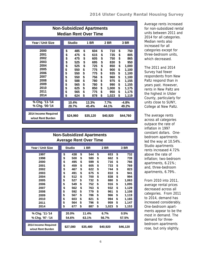| <b>Non-Subsidized Apartments</b><br><b>Median Rent Over Time</b> |               |          |    |          |    |          |    |          |  |  |  |  |
|------------------------------------------------------------------|---------------|----------|----|----------|----|----------|----|----------|--|--|--|--|
| Year / Unit Size                                                 | <b>Studio</b> |          |    | 1 BR     |    | 2 BR     |    | 3 BR     |  |  |  |  |
|                                                                  |               |          |    |          |    |          |    |          |  |  |  |  |
| 2000                                                             | \$            | 485      | \$ | 604      | \$ | 710      | \$ | 750      |  |  |  |  |
| 2001                                                             | \$            | 475      | \$ | 615      | \$ | 735      | \$ | 805      |  |  |  |  |
| 2002                                                             | \$            | 475      | \$ | 605      | \$ | 750      | \$ | 865      |  |  |  |  |
| 2003                                                             | \$            | 525      | \$ | 695      | \$ | 830      | \$ | 950      |  |  |  |  |
| 2004                                                             | \$            | 525      | \$ | 725      | \$ | 850      | \$ | 1,000    |  |  |  |  |
| 2005                                                             | \$            | 550      | \$ | 775      | \$ | 900      | \$ | 1,100    |  |  |  |  |
| 2006                                                             | \$            | 550      | \$ | 775      | \$ | 935      | \$ | 1,100    |  |  |  |  |
| 2007                                                             | \$            | 550      | \$ | 756      | \$ | 960      | \$ | 1,100    |  |  |  |  |
| 2008                                                             | \$            | 588      | \$ | 780      | \$ | 975      | \$ | 1,155    |  |  |  |  |
| 2009                                                             | \$            | 565      | \$ | 780      | \$ | 990      | \$ | 1,155    |  |  |  |  |
| 2010                                                             | \$            | 625      | \$ | 850      | \$ | 1,000    | \$ | 1,175    |  |  |  |  |
| 2011                                                             | \$            | 565      | \$ | 775      | \$ | 950      | \$ | 1,175    |  |  |  |  |
| 2014                                                             | \$            | 624      | \$ | 878      | \$ | 1,023    | \$ | 1,119    |  |  |  |  |
|                                                                  |               |          |    |          |    |          |    |          |  |  |  |  |
| % Chg. '11-'14                                                   |               | 10.4%    |    | 13.3%    |    | 7.7%     |    | -4.8%    |  |  |  |  |
| % Chg. '00-'14                                                   |               | 28.7%    |    | 45.4%    |    | 44.1%    |    | 49.2%    |  |  |  |  |
| 2014 Income Required<br>w/out Rent Burden                        |               | \$24,960 |    | \$35,120 |    | \$40,920 |    | \$44,760 |  |  |  |  |

The 2011 and 2014 Survey had fewer respondents from New Paltz respond than in years past. However, rents in New Paltz are the highest in Ulster County, particularly for units close to SUNY, College at New Paltz.

The average rents across all categories outpace the rate of inflation in 1997 constant dollars. Onebedroom apartments led the way at 10.54%. Studio apartments rents increased 4.72% above the rate of inflation; two-bedroom apartments, 6.21%; and, three-bedroom apartments, 6.79%.

From 2010 into 2011, average rental prices decreased across all categories. From 2011 to 2014, demand has increased considerably. One-bedroom apartments appear to be the most in demand. The demand for threebedroom apartments rose, but only slightly.

|                                           | <b>Non-Subsidized Apartments</b><br><b>Average Rent Over Time</b> |               |    |             |    |          |          |       |  |  |  |  |  |  |
|-------------------------------------------|-------------------------------------------------------------------|---------------|----|-------------|----|----------|----------|-------|--|--|--|--|--|--|
| Year / Unit Size                          |                                                                   | <b>Studio</b> |    | <b>1 BR</b> |    | 2 BR     | 3 BR     |       |  |  |  |  |  |  |
|                                           |                                                                   |               |    |             |    |          |          |       |  |  |  |  |  |  |
| 1997                                      | \$                                                                | 438           | \$ | 544         | \$ | 653      | \$       | 732   |  |  |  |  |  |  |
| 1998                                      | \$                                                                | 500           | \$ | 580         | \$ | 662      | \$       | 739   |  |  |  |  |  |  |
| 2000                                      | \$                                                                | 495           | \$ | 599         | \$ | 716      | \$       | 766   |  |  |  |  |  |  |
| 2001                                      | \$                                                                | 459           | \$ | 605         | \$ | 733      | \$       | 769   |  |  |  |  |  |  |
| 2002                                      | \$                                                                | 467           | \$ | 622         | \$ | 744      | \$       | 823   |  |  |  |  |  |  |
| 2003                                      | \$                                                                | 491           | \$ | 675         | \$ | 810      | \$       | 941   |  |  |  |  |  |  |
| 2004                                      | \$                                                                | 512           | \$ | 700         | \$ | 838      | \$       | 994   |  |  |  |  |  |  |
| 2005                                      | \$                                                                | 527           | \$ | 732         | \$ | 880      | \$       | 1,063 |  |  |  |  |  |  |
| 2006                                      | \$                                                                | 549           | \$ | 752         | \$ | 916      | \$       | 1,095 |  |  |  |  |  |  |
| 2007                                      | \$                                                                | 562           | \$ | 763         | \$ | 932      | \$       | 1,129 |  |  |  |  |  |  |
| 2008                                      | \$                                                                | 592           | \$ | 779         | \$ | 961      | \$       | 1,108 |  |  |  |  |  |  |
| 2009                                      | \$                                                                | 567           | \$ | 786         | \$ | 966      | \$       | 1,119 |  |  |  |  |  |  |
| 2010                                      | \$                                                                | 603           | \$ | 821         | \$ | 994      | \$       | 1,165 |  |  |  |  |  |  |
| 2011                                      | \$                                                                | 564           | \$ | 796         | \$ | 959      | \$       | 1,147 |  |  |  |  |  |  |
| 2014                                      | \$                                                                | 677           | \$ | 887         | \$ | 1,023    | \$       | 1,153 |  |  |  |  |  |  |
|                                           |                                                                   |               |    |             |    |          |          |       |  |  |  |  |  |  |
| % Chg. '11-'14                            |                                                                   | 20.0%         |    | 11.4%       |    | 6.7%     |          | 0.5%  |  |  |  |  |  |  |
| % Chg. '97 -'14                           |                                                                   | 54.6%         |    | 63.1%       |    | 56.7%    |          | 57.5% |  |  |  |  |  |  |
|                                           |                                                                   |               |    |             |    |          |          |       |  |  |  |  |  |  |
| 2014 Income Required<br>w/out Rent Burden |                                                                   | \$27,080      |    | \$35,480    |    | \$40,920 | \$46,120 |       |  |  |  |  |  |  |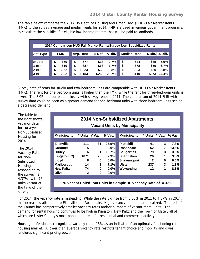The table below compares the 2014 US Dept. of Housing and Urban Dev. (HUD) Fair Market Rents (FMR) to the survey average and median rents for 2014. FMR are used in various government programs to calculate the subsidies for eligible low-income renters that will be paid to landlords.

|               | 2014 Comparison HUD Fair Market Rents/Survey Non-Subsidized Rents |             |  |             |     |          |                 |  |    |                    |          |                  |  |  |
|---------------|-------------------------------------------------------------------|-------------|--|-------------|-----|----------|-----------------|--|----|--------------------|----------|------------------|--|--|
|               |                                                                   |             |  |             |     |          |                 |  |    |                    |          |                  |  |  |
| Apt.Type      |                                                                   | <b>FMR</b>  |  | Avg. Rent   |     |          | \$Diff. % Diff. |  |    | <b>Median Rent</b> |          | \$ Diff. % Diff. |  |  |
|               |                                                                   |             |  |             |     |          |                 |  |    |                    |          |                  |  |  |
| <b>Studio</b> |                                                                   | \$<br>659   |  | \$          | 677 | $-$ \$18 | $-2.7%$         |  | \$ | 624                | \$35     | 5.6%             |  |  |
| 1 BR          |                                                                   | 819<br>\$   |  | \$          | 887 | $-$ \$68 | $-7.7%$         |  | \$ | 878                | $-$ \$59 | $-6.7%$          |  |  |
| 2 BR          |                                                                   | 1.062<br>\$ |  | \$<br>1,023 |     | \$39     | 3.8%            |  | \$ | 1,023              | \$39     | 3.8%             |  |  |
| 3 BR          |                                                                   | 1,392<br>S  |  | \$<br>1,153 |     | \$239    | 20.7%           |  | \$ | 1,119              | \$273    | 24.4%            |  |  |
|               |                                                                   |             |  |             |     |          |                 |  |    |                    |          |                  |  |  |

Survey data of rents for studio and two-bedroom units are comparable with HUD Fair Market Rents (FMR). The rent for one-bedroom units is higher than the FMR, while the rent for three-bedroom units is lower. The FMR had correlated closely with survey rents in 2011. The comparison of 2014 FMR with survey data could be seen as a greater demand for one-bedroom units with three-bedroom units seeing a decreased demand.

The table to the right shows vacancy data for surveyed Non-Subsidized Housing for 2014.

The 2014 Vacancy Rate, for Non-Subsidized Housing responding to the survey, is 4.37%, with 76 units vacant at the time of the survey.

| <b>2014 Non-Subsidized Apartments</b><br><b>Vacant Units by Municipality</b> |                |              |         |                                                              |              |                |          |  |  |  |  |  |
|------------------------------------------------------------------------------|----------------|--------------|---------|--------------------------------------------------------------|--------------|----------------|----------|--|--|--|--|--|
|                                                                              |                |              |         |                                                              |              |                |          |  |  |  |  |  |
| <b>Municipality</b>                                                          | # Units # Vac. |              | % Vac.  | <b>Municipality</b>                                          |              | # Units # Vac. | $%$ Vac. |  |  |  |  |  |
|                                                                              |                |              |         |                                                              |              |                |          |  |  |  |  |  |
| <b>Ellenville</b>                                                            | 111            | 31           | 27.9%   | <b>Plattekill</b>                                            | 41           | 3              | 7.3%     |  |  |  |  |  |
| Gardiner                                                                     | 5              | $\bf{0}$     | $0.0\%$ | Rosendale                                                    | 52           | 7              | 13.5%    |  |  |  |  |  |
| <b>Hurley</b>                                                                | 6              | 1            | 16.7%   | <b>Saugerties</b>                                            | 79           | 3              | 3.8%     |  |  |  |  |  |
| Kingston (C)                                                                 | 1071           | 25           | 2.3%    | <b>Shandaken</b>                                             | 26           | 1              | 3.8%     |  |  |  |  |  |
| Lloyd                                                                        | 8              | $\mathbf{0}$ | $0.0\%$ | Shawangunk                                                   | $\mathbf{2}$ | 0              | $0.0\%$  |  |  |  |  |  |
| Marlborough                                                                  | 14             | 1            | 7.1%    | <b>Ulster</b>                                                | 237          | 3 <sup>1</sup> | 1.3%     |  |  |  |  |  |
| <b>New Paltz</b>                                                             | 74             | $\bf{0}$     | $0.0\%$ | Wawarsing                                                    | 12           | 1              | 8.3%     |  |  |  |  |  |
| Olive                                                                        | $\mathbf{2}$   | $\bf{0}$     | $0.0\%$ |                                                              |              |                |          |  |  |  |  |  |
|                                                                              |                |              |         |                                                              |              |                |          |  |  |  |  |  |
|                                                                              |                |              |         | 76 Vacant Units/1740 Units in Sample = Vacancy Rate of 4.37% |              |                |          |  |  |  |  |  |

For 2014, the vacancy rate is misleading. While the rate did rise from 3.08% in 2011 to 4.37% in 2014, this increase is attributed to Ellenville and Rosendale. High vacancy numbers are localized. The rest of the County has comparatively smaller vacancy rates and/or numbers of vacant rental units. The demand for rental housing continues to be high in Kingston, New Paltz and the Town of Ulster, all of which are Ulster County's most populated areas for residential and commercial activity.

Housing professionals recognize a vacancy rate of 5% as an indicator of an optimally functioning rental housing market. A lower than average vacancy rate restricts tenant choice and mobility and gives landlords significant pricing power.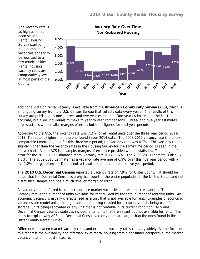The vacancy rate is as high as it has been since the Rental Housing Survey started. High numbers of vacancies appear to be localized to a few municipalities. Rental housing vacancy rates are comparatively low in most parts of the County.



Additional data on rental vacancy is available from the **American Community Survey** (ACS), which is an ongoing survey from the U.S. Census Bureau that collects data every year. The results of this survey are published as one-, three- and five-year estimates. One-year estimates are the least accurate, but allow individuals to make to year to year comparisons. Three- and five-year estimates offer statistics with smaller margins of error, but offer figures for multiyear periods.

According to the ACS, the vacancy rate was 7.2% for all rental units over the three year period 2011- 2013. This rate is higher than the one found in our 2014 data. The 2008-2010 vacancy rate is the next comparable timeframe, and for this three year period, the vacancy rate was 4.7%. This vacancy rate is slightly higher than the vacancy rates in the Housing Survey for the same time period as seen in the above chart. As the ACS is a sample, margins of error are provided with all statistics. The margin of error for the 2011-2013 Estimate's rental vacancy rate is  $+/-1.6\%$ . The 2008-2010 Estimate is also  $+/-$ 1.6%. The 2009-2013 Estimate has a vacancy rate average of 6.9% over this five year period with a +/- 1.2% margin of error. Data is not yet available for a comparable five year period.

The **2010 U.S. Decennial Census** reported a vacancy rate of 7.9% for Ulster County. It should be noted that the Decennial Census is a physical count of the entire population in the United States and not a statistical sample and has a much smaller margin of error.

All vacancy rates referred to in this report are market vacancies, not economic vacancies. The market vacancy rate is the number of units available for rent divided by the total number of rentable units. An economic vacancy is usually characterized as a unit that is not available for rent. Examples of economic vacancies are model units, manager units, units being readied for occupancy, units being used for storage, units being renovated or any unit that is not rentable in its current condition. ACS and Decennial Census vacancy statistics include rental units that are vacant but not available for rent. This helps to explain why ACS and Decennial Census vacancy rates are larger than the ones found in the Ulster County Rental Survey.

Differences between market vacancy rates and economic vacancy rates can vary widely. As the focus of this report is the availability and affordability of rental housing from a consumer perspective, the market vacancy rate is the best measure.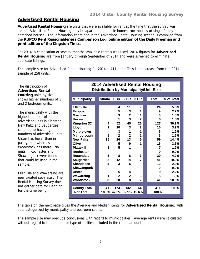#### **Advertised Rental Housing**

**Advertised Rental Housing** are units that were available for rent at the time that the survey was taken. Advertised Rental Housing may be apartments, mobile homes, row houses or single family detached houses. The information contained in the Advertised Rental Housing section is compiled from the **RUPCO Rent Reasonableness Comparison Log, online edition of the Daily Freeman and print edition of the Kingston Times**.

For 2014, a compilation of several months' available rentals was used. 2014 figures for **Advertised Rental Housing** are from January through September of 2014 and were screened to eliminate duplicate listings.

The sample size for Advertised Rental Housing for 2014 is 411 units. This is a decrease from the 2011 sample of 258 units.

| The distribution of<br><b>Advertised Rental</b> | <b>2014 Advertised Rental Housing</b><br><b>Distribution by Municipality/Unit Size</b> |             |                |                         |              |                 |            |
|-------------------------------------------------|----------------------------------------------------------------------------------------|-------------|----------------|-------------------------|--------------|-----------------|------------|
| <b>Housing units by size</b>                    |                                                                                        |             |                |                         |              |                 |            |
| shows higher numbers of 1                       | <b>Municipality</b>                                                                    | Studio 1 BR |                | 2 BR                    | 3 BR         | <b>Total</b>    | % of Total |
| and 2 bedroom units.                            |                                                                                        |             |                |                         |              |                 |            |
|                                                 | <b>Ellenville</b>                                                                      |             | 4              | 11                      | 9            | 24              | 5.8%       |
| The municipality with the                       | <b>Esopus</b>                                                                          |             | 5              | 3                       | 1            | 9               | 2.2%       |
| highest number of                               | <b>Gardiner</b>                                                                        |             | 3              | $\overline{2}$          | 1            | 6               | 1.5%       |
| advertised units is Kingston.                   | <b>Hurley</b>                                                                          |             |                | 3                       | $\mathbf{2}$ | 6               | 1.5%       |
| New Paltz and Saugerties                        | Kingston (C)                                                                           | 4           | 52             | 45                      | 26           | 127             | 30.9%      |
| continue to have high                           | Lloyd                                                                                  |             | 10             | 3                       | $\mathbf{2}$ | 16              | 3.9%       |
| numbers of advertised units.                    | <b>Marbletown</b>                                                                      |             | 3              | 1                       | 1            | 5               | 1.2%       |
|                                                 | Marlborough                                                                            | 1           | $\overline{2}$ | $\overline{2}$          | 1            | $6\phantom{1}6$ | 1.5%       |
| Ulster has fewer than in                        | <b>New Paltz</b>                                                                       | 15          | 26             | 13                      | 5            | 59              | 14.4%      |
| past years; whereas                             | Olive                                                                                  |             | 5              | 9                       | 1            | 15              | 3.6%       |
| Woodstock has more. No                          | <b>Plattekill</b>                                                                      | 1           | 5              | 1                       |              | 7               | 1.7%       |
| units in Rochester and                          | <b>Rochester</b>                                                                       |             |                |                         |              | $\bf{0}$        | 0.0%       |
| Shawangunk were found                           | Rosendale                                                                              | 3           | 8              | 6                       | 3            | 20              | 4.9%       |
| that could be used in the                       | <b>Saugerties</b>                                                                      | 8           | 12             | 14                      | 7            | 41              | 10.0%      |
| sample.                                         | <b>Shandaken</b>                                                                       | 4           | 3              | 5                       |              | 12              | 2.9%       |
|                                                 | Shawangunk                                                                             |             |                |                         |              | 0               | 0.0%       |
| Ellenville and Wawarsing are                    | <b>Ulster</b>                                                                          |             | 5              | 4                       |              | 9               | 2.2%       |
| now treated separately. The                     | Wawarsing                                                                              | 1           | $\overline{2}$ | $\overline{\mathbf{2}}$ | 3            | 8               | 1.9%       |
| Rental Housing Survey does                      | <b>Woodstock</b>                                                                       | 3           | 28             | 8                       | $\mathbf 2$  | 41              | 10.0%      |
| not gather data for Denning                     |                                                                                        |             |                |                         |              |                 |            |
| for the time being.                             | <b>County Total</b>                                                                    | 41          | 174            | 132                     | 64           | 411             | 100%       |
|                                                 | % of Total                                                                             |             |                | 10.0% 42.3% 32.1% 15.6% |              | 100%            |            |

The table on the next page gives the Average and Median Rents for **Advertised Rental Housing**, with data categorized by municipality and bedroom count.

The sample size may preclude conclusions with regard to municipalities. Average rents were calculated without regard to the number or type of utilities included in the rental amount.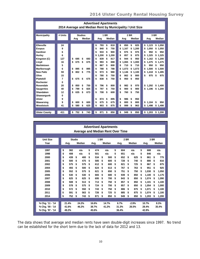| <b>Advertised Apartments</b><br>2014 Average and Median Rent by Municipality / Unit Size |         |                        |                            |                            |                            |  |  |  |  |
|------------------------------------------------------------------------------------------|---------|------------------------|----------------------------|----------------------------|----------------------------|--|--|--|--|
|                                                                                          |         |                        |                            |                            |                            |  |  |  |  |
| <b>Municipality</b>                                                                      | # Units | <b>Studios</b>         | <b>1 BR</b>                | 2 BR                       | 3 BR                       |  |  |  |  |
|                                                                                          |         | Median<br>Avg          | Median<br>Avg              | Median<br>Avg              | Median<br>Avg              |  |  |  |  |
|                                                                                          |         |                        |                            |                            |                            |  |  |  |  |
| Ellenville                                                                               | 24      |                        | 793<br>\$<br>810<br>\$     | \$<br>825<br>850<br>\$     | 1,123<br>\$1.050<br>\$     |  |  |  |  |
| <b>Esopus</b>                                                                            | 9       |                        | \$<br>750<br>840<br>\$     | \$<br>1.167<br>\$<br>1.200 | 1,050<br>1.050<br>\$<br>\$ |  |  |  |  |
| Gardiner                                                                                 | 6       |                        | \$<br>933<br>\$<br>900     | \$<br>975<br>\$<br>975     | 950<br>\$<br>950<br>\$     |  |  |  |  |
| Hurley                                                                                   | 6       |                        | \$<br>1,200<br>\$<br>1.200 | \$<br>857<br>\$<br>875     | 1.325<br>\$1.325<br>\$     |  |  |  |  |
| Kingston (C)                                                                             | 127     | \$<br>\$<br>695<br>693 | \$<br>\$<br>839<br>817     | \$<br>944<br>950<br>\$     | \$<br>1.162<br>\$1.200     |  |  |  |  |
| Lloyd                                                                                    | 16      | \$<br>675<br>\$<br>675 | \$<br>993<br>\$<br>888     | \$<br>1.065<br>\$<br>1.000 | \$<br>1.475<br>\$1.475     |  |  |  |  |
| <b>Marbletown</b>                                                                        | 5       |                        | \$<br>867<br>\$<br>800     | \$<br>710<br>\$<br>710     | 950<br>950<br>\$<br>\$     |  |  |  |  |
| Marlborough                                                                              | 6       | \$<br>895<br>\$<br>895 | \$<br>788<br>\$<br>788     | \$<br>\$<br>1.073<br>1.073 | 1.500<br>\$1.500<br>\$     |  |  |  |  |
| <b>New Paltz</b>                                                                         | 59      | \$<br>802<br>\$<br>775 | \$<br>973<br>\$<br>980     | \$<br>1.100<br>1.146<br>\$ | 1,418<br>1,495<br>\$<br>S. |  |  |  |  |
| Olive                                                                                    | 15      |                        | \$<br>780<br>\$<br>750     | \$<br>862<br>\$<br>800     | \$<br>975<br>975<br>\$     |  |  |  |  |
| <b>Plattekill</b>                                                                        | 7       | \$<br>675<br>\$<br>675 | \$<br>838<br>\$<br>750     | \$<br>950<br>\$<br>950     |                            |  |  |  |  |
| Rochester                                                                                | 0       |                        |                            |                            |                            |  |  |  |  |
| Rosendale                                                                                | 20      | 750<br>\$<br>850<br>\$ | \$<br>796<br>\$<br>800     | \$<br>982<br>\$<br>970     | \$<br>1.292<br>\$1.400     |  |  |  |  |
| <b>Saugerties</b>                                                                        | 40      | \$<br>\$<br>825<br>799 | \$<br>797<br>\$<br>750     | \$<br>900<br>\$<br>900     | \$<br>1,196<br>\$1.200     |  |  |  |  |
| Shandaken                                                                                | 12      | 635<br>\$<br>\$<br>673 | \$<br>708<br>\$<br>600     | \$<br>760<br>\$<br>750     |                            |  |  |  |  |
| Shawangunk                                                                               | 0       |                        |                            |                            |                            |  |  |  |  |
| Ulster                                                                                   | 9       |                        | \$<br>874<br>895<br>\$     | \$<br>986<br>\$<br>950     |                            |  |  |  |  |
| Wawarsing                                                                                | 9       | \$<br>\$<br>600<br>600 | \$<br>675<br>\$<br>675     | \$<br>800<br>\$<br>800     | \$<br>1.104<br>\$<br>950   |  |  |  |  |
| Woodstock                                                                                | 41      | \$<br>\$<br>625<br>580 | \$<br>903<br>875<br>\$     | \$<br>\$<br>963<br>999     | \$<br>1,498<br>\$1,498     |  |  |  |  |
|                                                                                          |         |                        |                            |                            |                            |  |  |  |  |
| <b>Ulster County</b>                                                                     | 411     | \$<br>752<br>\$<br>743 | \$<br>850<br>871<br>\$     | \$<br>850<br>949<br>\$     | \$<br>1,203<br>\$1,200     |  |  |  |  |

|                  |           |               |               |    |       |    | <b>Advertised Apartments</b>             |      |                |    |         |      |       |               |       |
|------------------|-----------|---------------|---------------|----|-------|----|------------------------------------------|------|----------------|----|---------|------|-------|---------------|-------|
|                  |           |               |               |    |       |    | <b>Average and Median Rent Over Time</b> |      |                |    |         |      |       |               |       |
|                  |           |               |               |    |       |    |                                          |      |                |    |         |      |       |               |       |
| <b>Unit Size</b> |           | <b>Studio</b> |               |    | 1 BR  |    |                                          | 2 BR |                |    | 3 BR    |      |       |               |       |
| Year             | Avg.      |               | <b>Median</b> |    | Avg.  |    | Median                                   |      | Median<br>Avg. |    |         | Avg. |       | <b>Median</b> |       |
|                  |           |               |               |    |       |    |                                          |      |                |    |         |      |       |               |       |
| 1997             | \$<br>382 |               | n/a           | \$ | 474   |    | n/a                                      | \$   | 604            |    | n/a     | \$   | 688   |               | n/a   |
| 1998             | \$<br>408 |               | n/a           | \$ | 501   |    | n/a                                      | \$   | 651            |    | n/a     | \$   | 846   |               | n/a   |
| 2000             | \$<br>439 | \$            | 400           | \$ | 534   | \$ | 500                                      | \$   | 652            | \$ | 625     | \$   | 861   | \$            | 775   |
| 2001             | \$<br>500 | \$            | 475           | \$ | 585   | \$ | 600                                      | \$   | 728            | \$ | 740     | \$   | 880   | \$            | 816   |
| 2002             | \$<br>575 | \$            | 575           | \$ | 612   | \$ | 600                                      | \$   | 821            | \$ | 725     | \$   | 867   | \$            | 875   |
| 2004             | \$<br>493 | \$            | 500           | \$ | 624   | \$ | 613                                      | \$   | 767            | \$ | 763     | \$   | 951   | \$            | 925   |
| 2005             | \$<br>552 | \$            | 575           | \$ | 621   | \$ | 650                                      | \$   | 751            | \$ | 750     | \$   | 1.030 | \$            | 1,050 |
| 2006             | \$<br>530 | \$            | 530           | \$ | 665   | \$ | 680                                      | \$   | 939            | \$ | 850     | \$   | 1.100 | \$            | 1,175 |
| 2007             | \$<br>625 | \$            | 625           | \$ | 695   | \$ | 700                                      | \$   | 843            | \$ | 850     | \$   | 1.074 | \$            | 1.090 |
| 2008             | \$<br>508 | \$            | 513           | \$ | 713   | \$ | 750                                      | \$   | 857            | \$ | 850     | \$   | 1,101 | \$            | 1,100 |
| 2009             | \$<br>578 | \$            | 575           | \$ | 724   | \$ | 700                                      | \$   | 857            | \$ | 850     | \$   | 1,054 | \$            | 1.000 |
| 2010             | \$<br>572 | \$            | 550           | \$ | 743   | \$ | 750                                      | \$   | 886            | \$ | 875     | \$   | 1,071 | \$            | 1,100 |
| 2011             | \$<br>591 | \$            | 563           | \$ | 726   | \$ | 725                                      | \$   | 885            | \$ | 875     | \$   | 1,074 | \$            | 1,100 |
| 2014             | \$<br>752 | \$            | 743           | \$ | 871   | \$ | 850                                      | \$   | 949            | \$ | 850     | \$   | 1,203 | \$            | 1,200 |
|                  |           |               |               |    |       |    |                                          |      |                |    |         |      |       |               |       |
| % Chg. '11 - '14 | 21.4%     |               | 24.2%         |    | 16.6% |    | 14.7%                                    |      | 6.7%           |    | $-2.9%$ |      | 10.7% |               | 8.3%  |
| % Chg. '00 - '14 | 41.6%     |               | 46.2%         |    | 38.7% |    | 41.2%                                    |      | 31.3%          |    | 26.5%   |      | 28.4% |               | 35.4% |
| % Chg. '97 - '14 | 49.2%     |               |               |    | 45.6% |    |                                          |      | 36.4%          |    |         |      | 42.8% |               |       |

The data shows that average and median rents have seen double-digit increases since 1997. No trend can be established for the short term due to the lack of data for 2012 and 13.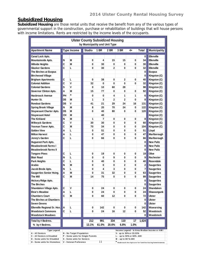# **Subsidized Housing**

**Subsidized Housing** are those rental units that receive the benefit from any of the various types of governmental support in the construction, purchase or rehabilitation of buildings that will house persons with income limitations. Rents are restricted by the income levels of the occupants.

| <b>Ulster County Subsidized Housing</b><br>by Municipality and Unit Type |    |                                                      |                                   |                |                         |                                                                                  |      |                |                                              |  |
|--------------------------------------------------------------------------|----|------------------------------------------------------|-----------------------------------|----------------|-------------------------|----------------------------------------------------------------------------------|------|----------------|----------------------------------------------|--|
| <b>Apartment Name</b>                                                    |    | <b>Type Income</b>                                   | <b>Studio</b>                     | 1 BR           | $2$ BR                  | 3 BR                                                                             | 4+   | Total          | <b>Municipality</b>                          |  |
|                                                                          |    |                                                      |                                   |                |                         |                                                                                  |      |                |                                              |  |
| Canal Lock Apts.                                                         |    |                                                      |                                   |                |                         |                                                                                  |      | 0              | Ellenville                                   |  |
| Mountainside Apts.                                                       | N  | М                                                    | 0                                 | 4              | 15                      | 15                                                                               | 0    | 34             | Ellenville                                   |  |
| <b>Hillside Heights</b>                                                  | C  | M                                                    | 0                                 | 30             | 0                       | 0                                                                                | 0    | 30             | Ellenville                                   |  |
| <b>Glusker Gardens</b>                                                   | C  | L                                                    | 0                                 | 30             | 2                       | 0                                                                                | 0    | 32             | <b>Ellenville</b>                            |  |
| The Birches at Esopus                                                    |    |                                                      |                                   |                |                         |                                                                                  |      | 0              | <b>Esopus</b>                                |  |
| <b>Birchwood Village</b>                                                 |    |                                                      |                                   |                |                         |                                                                                  |      | 0              | Kingston (C)                                 |  |
| <b>Brigham Apartments</b>                                                | C  | L                                                    | 0                                 | 38             | 0                       | $\overline{2}$                                                                   | 0    | 40             | Kingston (C)                                 |  |
| <b>Colonial Addition</b>                                                 | C  | ۷                                                    | 32                                | 0              | 0                       | 0                                                                                | 0    | 32             | Kingston (C)                                 |  |
| <b>Colonial Gardens</b>                                                  | S  | ۷                                                    | 0                                 | 10             | 60                      | 28                                                                               |      | 98             | Kingston (C)                                 |  |
| Governor Clinton Apts.                                                   | A  | M                                                    | 15                                | 77             | 0                       | 0                                                                                | 0    | 92             | Kingston (C)                                 |  |
| <b>Hasbrouck Avenue</b>                                                  | PH | $\star$                                              | 0                                 | 0              | 4                       | 1                                                                                | 1    | 6              | Kingston (C)                                 |  |
| Hunter St.                                                               | DS | M                                                    | 1                                 | 3              | $\overline{2}$          | $\overline{2}$                                                                   | 0    | 8              | Kingston (C)                                 |  |
| <b>Rondout Gardens</b>                                                   | DS | V                                                    | 41                                | 21             | 29                      | 24                                                                               | 16   | 131            | Kingston (C)                                 |  |
| <b>Spring Brook Village</b>                                              | N  | M                                                    | 8                                 | 20             | 70                      | 24                                                                               | 0    | 122            | Kingston (C)                                 |  |
| <b>Stuyvesant Charter Apts.</b>                                          | DS | M                                                    | 0                                 | 40             | 80                      | 0                                                                                | 0    | 120            | Kingston (C)                                 |  |
| <b>Stuyvesant Hotel</b>                                                  | CH | M                                                    |                                   | 40             |                         |                                                                                  |      |                | Kingston (C)                                 |  |
| <b>The Kirkland</b>                                                      | N  | M                                                    | 1                                 | $\overline{7}$ | 0                       | 0                                                                                | 0    | 8              | Kingston (C)                                 |  |
| <b>Wiltwyck Gardens</b>                                                  | C  | ٧                                                    | 30                                | 30             | 0                       | 0                                                                                | 0    | 60             | Kingston (C)                                 |  |
| Yosman Tower Apts.                                                       | C  | M                                                    | 70                                | 34             | 0                       | 0                                                                                | 0    | 104            | Kingston (C)                                 |  |
| <b>Golden View</b>                                                       | A  | L                                                    | 0                                 | 51             | 0                       | 0                                                                                | 0    | 51             | Lloyd                                        |  |
| <b>Milton Harvest</b>                                                    | A  | L                                                    | 0                                 | 47             | 0                       | 0                                                                                | 0    | 47             | Marlborough                                  |  |
| Jenny's Garden                                                           | C  | L                                                    | 0                                 | 66             | 0                       | 0                                                                                | 0    | 66             | Marlborough                                  |  |
| Huguenot Park Apts.                                                      |    |                                                      |                                   |                |                         |                                                                                  |      | 0              | <b>New Paltz</b>                             |  |
| <b>Meadowbrook Farms I</b>                                               |    |                                                      |                                   |                |                         |                                                                                  |      | 0              | <b>New Paltz</b>                             |  |
| <b>Meadowbrook Farms II</b>                                              |    |                                                      |                                   |                |                         |                                                                                  |      | 0              | <b>New Paltz</b>                             |  |
| <b>Tongore Pines</b>                                                     | C  | L                                                    | 0                                 | 19             | 0                       | 0                                                                                | 0    | 19             | Olive                                        |  |
| <b>Blair Road</b>                                                        | N  | L                                                    | 0                                 | 0              | 9                       | 0                                                                                | 0    | 9              | Rochester                                    |  |
| Park Heights                                                             | C  | L                                                    | 0                                 | 40             | 0                       | 0                                                                                | 0    | 40             | Rosendale                                    |  |
| Arabio                                                                   | N  | М                                                    | 0                                 | 0              | 0                       | $\overline{2}$                                                                   | 0    | $\overline{2}$ | <b>Saugerties</b>                            |  |
| Jacob Brede Apts.                                                        | N  | L                                                    | 0                                 | 4              | 3                       | 0                                                                                | 0    | $\overline{7}$ | <b>Saugerties</b>                            |  |
| <b>Saugerties Senior Hsing.</b>                                          | A  | M                                                    | 0                                 | 31             | 32                      | 0                                                                                | 0    | 63             | <b>Saugerties</b>                            |  |
| <b>The Mill</b>                                                          | C  | M                                                    | 14                                | 75             | 0                       | 0                                                                                | 0    | 89             | <b>Saugerties</b>                            |  |
| <b>Hickory Ridge Apts.</b>                                               |    |                                                      |                                   |                |                         |                                                                                  |      | 0              | <b>Saugerties</b>                            |  |
| The Birches                                                              |    |                                                      |                                   |                |                         |                                                                                  |      | 0              | <b>Saugerties</b>                            |  |
| Shandaken Village Apts.                                                  | C  | ۷                                                    | 0                                 | 24             | 0                       | 0                                                                                | 0    | 24             | <b>Shandaken</b>                             |  |
| <b>Elsie's Meadow</b>                                                    | A  | L                                                    | 0                                 | 24             | 0                       | 0                                                                                | 0    | 24             | Shawangunk                                   |  |
| <b>Chambers Court</b>                                                    | C  | M                                                    | 0                                 | 60             | 12                      | 0                                                                                | 0    | 72             | <b>Ulster</b>                                |  |
| The Birches at Chambers                                                  |    |                                                      |                                   |                |                         |                                                                                  |      | 0              | <b>Ulster</b>                                |  |
| <b>Seven Greens</b>                                                      |    |                                                      |                                   |                |                         |                                                                                  |      | 0              | <b>Ulster</b>                                |  |
| Ellenville Regional Sr. Hsn.                                             | A  | L                                                    | 0                                 | 142            | 0                       | 0                                                                                | 0    | 142            | Wawarsing                                    |  |
| <b>Woodstock Commons</b>                                                 | C  | Г                                                    | 0                                 | 24             | 16                      | 12                                                                               | 0    | 52             | Woodstock                                    |  |
| <b>Woodstock Meadows</b>                                                 |    |                                                      |                                   |                |                         |                                                                                  |      | 0              | Woodstock                                    |  |
| Total by # Bedrms.                                                       |    |                                                      | 212                               | 991            | 334                     | 110                                                                              | 17   | 1,624          |                                              |  |
| % by # Bedrms.                                                           |    |                                                      | 13.1%                             | 61.0%          | 20.6%                   | 6.8%                                                                             | 1.0% |                |                                              |  |
| <b>Type Legend</b>                                                       |    |                                                      |                                   |                |                         |                                                                                  |      |                | Income Legend - in Area Median Income or AMI |  |
| A - All Seniors                                                          |    | N - No Target Population                             |                                   |                |                         | V- up to 30% or 33.33%                                                           |      |                |                                              |  |
| C - All Seniors & Disabled                                               |    |                                                      | P - Some units for Single Parents |                | L- up to 50% or 60% AMI |                                                                                  |      |                |                                              |  |
| D - Some units for Disabled<br>H - Some units for Homeless               |    | S - Some units for Seniors<br>V - Veteran Preference |                                   | Ħ              |                         | M - up to 80 % AMI<br>* Hasbrouck Ave Apts are for families facing homelessness. |      |                |                                              |  |